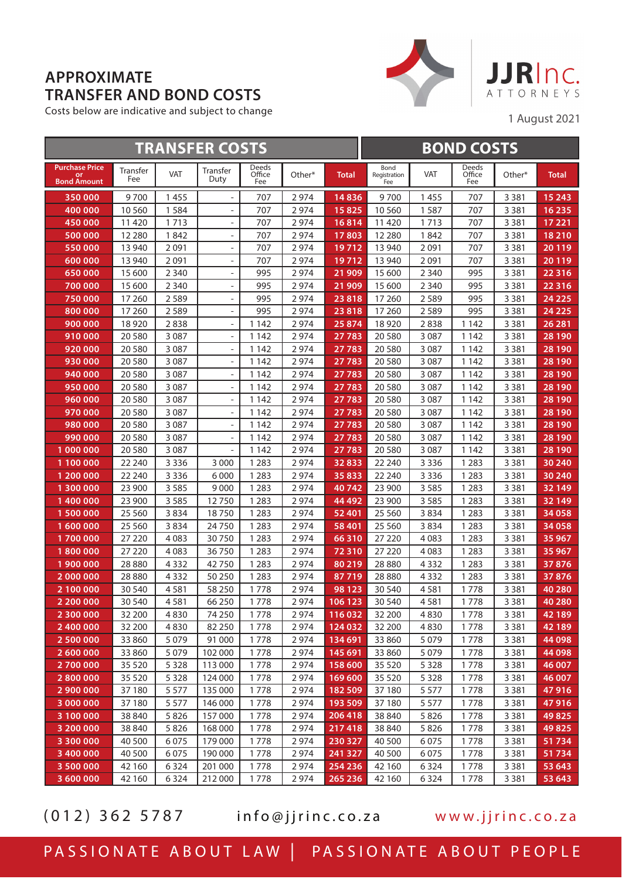## **APPROXIMATE TRANSFER AND BOND COSTS**

Costs below are indicative and subject to change



1 August 2021

| <b>TRANSFER COSTS</b>                             |                 |            |                          |                        |        | <b>BOND COSTS</b> |                             |            |                        |         |              |
|---------------------------------------------------|-----------------|------------|--------------------------|------------------------|--------|-------------------|-----------------------------|------------|------------------------|---------|--------------|
| <b>Purchase Price</b><br>or<br><b>Bond Amount</b> | Transfer<br>Fee | <b>VAT</b> | Transfer<br>Duty         | Deeds<br>Office<br>Fee | Other* | Total             | Bond<br>Registration<br>Fee | <b>VAT</b> | Deeds<br>Office<br>Fee | Other*  | <b>Total</b> |
| 350 000                                           | 9700            | 1455       | $\overline{\phantom{a}}$ | 707                    | 2974   | 14836             | 9700                        | 1455       | 707                    | 3 3 8 1 | 15 2 43      |
| 400 000                                           | 10 560          | 1 5 8 4    | $\frac{1}{2}$            | 707                    | 2974   | 15825             | 10 560                      | 1587       | 707                    | 3 3 8 1 | 16 235       |
| 450 000                                           | 11 4 20         | 1713       | $\frac{1}{2}$            | 707                    | 2974   | 16814             | 11 4 20                     | 1713       | 707                    | 3 3 8 1 | 17 221       |
| 500 000                                           | 12 2 8 0        | 1842       | $\frac{1}{2}$            | 707                    | 2974   | 17803             | 12 2 8 0                    | 1842       | 707                    | 3 3 8 1 | 18210        |
| 550 000                                           | 13 940          | 2 0 9 1    | $\frac{1}{2}$            | 707                    | 2974   | 19712             | 13 940                      | 2091       | 707                    | 3 3 8 1 | 20119        |
| 600 000                                           | 13 940          | 2 0 9 1    | $\frac{1}{2}$            | 707                    | 2974   | 19712             | 13 940                      | 2091       | 707                    | 3 3 8 1 | 20119        |
| 650000                                            | 15 600          | 2 3 4 0    | $\overline{\phantom{a}}$ | 995                    | 2974   | 21 909            | 15 600                      | 2 3 4 0    | 995                    | 3 3 8 1 | 22 3 16      |
| 700 000                                           | 15 600          | 2 3 4 0    | $\overline{\phantom{a}}$ | 995                    | 2974   | 21 909            | 15 600                      | 2 3 4 0    | 995                    | 3 3 8 1 | 22 3 16      |
| 750 000                                           | 17 260          | 2589       | $\overline{\phantom{a}}$ | 995                    | 2974   | 23818             | 17 260                      | 2589       | 995                    | 3 3 8 1 | 24 2 25      |
| 800 000                                           | 17 260          | 2589       | $\overline{\phantom{a}}$ | 995                    | 2974   | 23818             | 17 260                      | 2589       | 995                    | 3 3 8 1 | 24 2 25      |
| 900 000                                           | 18 9 20         | 2838       | $\overline{\phantom{0}}$ | 1 1 4 2                | 2974   | 25 874            | 18920                       | 2838       | 1 1 4 2                | 3 3 8 1 | 26 281       |
| 910000                                            | 20 580          | 3 0 8 7    | $\overline{\phantom{0}}$ | 1 1 4 2                | 2974   | 27783             | 20 5 80                     | 3087       | 1 1 4 2                | 3 3 8 1 | 28 190       |
| 920 000                                           | 20 580          | 3 0 8 7    | $\overline{\phantom{0}}$ | 1 1 4 2                | 2974   | 27783             | 20 5 80                     | 3087       | 1 1 4 2                | 3 3 8 1 | 28 190       |
| 930 000                                           | 20 580          | 3 0 8 7    | $\overline{\phantom{0}}$ | 1 142                  | 2974   | 27783             | 20 5 80                     | 3087       | 1 1 4 2                | 3 3 8 1 | 28 190       |
| 940 000                                           | 20 580          | 3 0 8 7    | $\overline{\phantom{0}}$ | 1 1 4 2                | 2974   | 27783             | 20 5 80                     | 3087       | 1 1 4 2                | 3 3 8 1 | 28 190       |
| 950 000                                           | 20 580          | 3 0 8 7    | $\overline{\phantom{0}}$ | 1 1 4 2                | 2974   | 27783             | 20 5 80                     | 3087       | 1 1 4 2                | 3 3 8 1 | 28 190       |
| 960 000                                           | 20 580          | 3 0 8 7    | $\frac{1}{2}$            | 1 142                  | 2974   | 27783             | 20 5 80                     | 3 0 8 7    | 1 1 4 2                | 3 3 8 1 | 28 190       |
| 970 000                                           | 20 580          | 3 0 8 7    | $\overline{\phantom{0}}$ | 1 142                  | 2974   | 27783             | 20 5 80                     | 3 0 8 7    | 1 1 4 2                | 3 3 8 1 | 28 190       |
| 980 000                                           | 20 580          | 3 0 8 7    | $\overline{\phantom{0}}$ | 1 1 4 2                | 2974   | 27783             | 20 5 80                     | 3 0 8 7    | 1 1 4 2                | 3 3 8 1 | 28 190       |
| 990 000                                           | 20 580          | 3 0 8 7    | $\frac{1}{2}$            | 1 142                  | 2974   | 27783             | 20 5 80                     | 3 0 8 7    | 1 1 4 2                | 3 3 8 1 | 28 190       |
| 1 000 000                                         | 20 580          | 3 0 8 7    | $\frac{1}{2}$            | 1 1 4 2                | 2974   | 27783             | 20 5 80                     | 3 0 8 7    | 1 1 4 2                | 3 3 8 1 | 28 190       |
| 1 100 000                                         | 22 240          | 3 3 3 6    | 3 000                    | 1 2 8 3                | 2974   | 32833             | 22 240                      | 3 3 3 6    | 1 2 8 3                | 3 3 8 1 | 30 240       |
| 1 200 000                                         | 22 240          | 3 3 3 6    | 6000                     | 1 2 8 3                | 2974   | 35 833            | 22 240                      | 3 3 3 6    | 1 2 8 3                | 3 3 8 1 | 30 240       |
| 1 300 000                                         | 23 900          | 3 5 8 5    | 9000                     | 1 2 8 3                | 2974   | 40742             | 23 900                      | 3585       | 1 2 8 3                | 3 3 8 1 | 32 149       |
| 1 400 000                                         | 23 900          | 3 5 8 5    | 12750                    | 1 2 8 3                | 2974   | 44 492            | 23 900                      | 3585       | 1 2 8 3                | 3 3 8 1 | 32 149       |
| 1 500 000                                         | 25 5 60         | 3834       | 18750                    | 1 2 8 3                | 2974   | 52 401            | 25 5 60                     | 3834       | 1 2 8 3                | 3 3 8 1 | 34 058       |
| 1 600 000                                         | 25 5 60         | 3834       | 24750                    | 1 2 8 3                | 2974   | 58 401            | 25 5 60                     | 3834       | 1 2 8 3                | 3 3 8 1 | 34 058       |
| 1700000                                           | 27 220          | 4 0 8 3    | 30750                    | 1 2 8 3                | 2974   | 66310             | 27 220                      | 4083       | 1 2 8 3                | 3 3 8 1 | 35 967       |
| 1800000                                           | 27 220          | 4 0 8 3    | 36750                    | 1 2 8 3                | 2974   | 72310             | 27 220                      | 4083       | 1 2 8 3                | 3 3 8 1 | 35 967       |
| 1900000                                           | 28 8 8 0        | 4332       | 42750                    | 1 2 8 3                | 2974   | 80 219            | 28880                       | 4332       | 1 2 8 3                | 3 3 8 1 | 37876        |
| 2 000 000                                         | 28 8 8 0        | 4 3 3 2    | 50 250                   | 1 2 8 3                | 2974   | 87719             | 28880                       | 4332       | 1 2 8 3                | 3 3 8 1 | 37876        |
| 2 100 000                                         | 30 540          | 4581       | 58 250                   | 1778                   | 2974   | 98 1 23           | 30 540                      | 4581       | 1778                   | 3 3 8 1 | 40 280       |
| 2 200 000                                         | 30 540          | 4581       | 66 250                   | 1778                   | 2974   | 106 123           | 30 540                      | 4581       | 1778                   | 3 3 8 1 | 40 280       |
| 2 300 000                                         | 32 200          | 4830       | 74 250                   | 1778                   | 2974   | 116 032           | 32 200                      | 4830       | 1778                   | 3 3 8 1 | 42 189       |
| 2 400 000                                         | 32 200          | 4830       | 82 250                   | 1778                   | 2974   | 124 032           | 32 200                      | 4830       | 1778                   | 3 3 8 1 | 42 189       |
| 2 500 000                                         | 33 860          | 5079       | 91 000                   | 1778                   | 2974   | 134 691           | 33 860                      | 5079       | 1778                   | 3 3 8 1 | 44 098       |
| 2 600 000                                         | 33 860          | 5 0 7 9    | 102 000                  | 1778                   | 2974   | 145 691           | 33 860                      | 5079       | 1778                   | 3 3 8 1 | 44 098       |
| 2700000                                           | 35 5 20         | 5 3 2 8    | 113 000                  | 1778                   | 2974   | 158 600           | 35 5 20                     | 5 3 2 8    | 1778                   | 3 3 8 1 | 46 007       |
| 2 800 000                                         | 35 5 20         | 5 3 2 8    | 124 000                  | 1778                   | 2974   | 169 600           | 35 5 20                     | 5 3 2 8    | 1778                   | 3 3 8 1 | 46 007       |
| 2 900 000                                         | 37 180          | 5 5 7 7    | 135 000                  | 1778                   | 2974   | 182 509           | 37 180                      | 5577       | 1778                   | 3 3 8 1 | 47916        |
| 3 000 000                                         | 37 180          | 5 5 7 7    | 146 000                  | 1778                   | 2974   | 193 509           | 37 180                      | 5577       | 1778                   | 3 3 8 1 | 47916        |
| 3 100 000                                         | 38 840          | 5826       | 157 000                  | 1778                   | 2974   | 206 418           | 38 840                      | 5826       | 1778                   | 3 3 8 1 | 49825        |
| 3 200 000                                         | 38 840          | 5826       | 168 000                  | 1778                   | 2974   | 217418            | 38 840                      | 5826       | 1778                   | 3 3 8 1 | 49825        |
| 3 300 000                                         | 40 500          | 6075       | 179 000                  | 1778                   | 2974   | 230 327           | 40 500                      | 6075       | 1778                   | 3 3 8 1 | 51734        |
| 3 400 000                                         | 40 500          | 6075       | 190 000                  | 1778                   | 2974   | 241 327           | 40 500                      | 6075       | 1778                   | 3 3 8 1 | 51734        |
| 3 500 000                                         | 42 160          | 6 3 2 4    | 201 000                  | 1778                   | 2974   | 254 236           | 42 160                      | 6324       | 1778                   | 3 3 8 1 | 53 643       |
| 3 600 000                                         | 42 160          | 6 3 2 4    | 212 000                  | 1778                   | 2974   | 265 236           | 42 160                      | 6324       | 1778                   | 3 3 8 1 | 53 643       |

(012) 362 5787 info@jjrinc.co.za www.jjrinc.co.za

PASSIONATE ABOUT LAW | PASSIONATE ABOUT PEOPLE